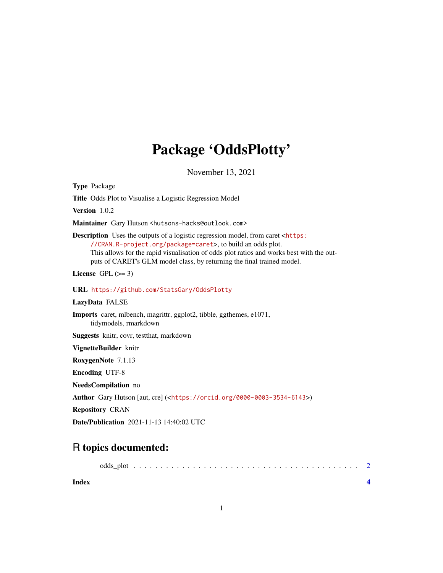## Package 'OddsPlotty'

November 13, 2021

Type Package

Title Odds Plot to Visualise a Logistic Regression Model

Version 1.0.2

Maintainer Gary Hutson <hutsons-hacks@outlook.com>

Description Uses the outputs of a logistic regression model, from caret <[https:](https://CRAN.R-project.org/package=caret) [//CRAN.R-project.org/package=caret](https://CRAN.R-project.org/package=caret)>, to build an odds plot. This allows for the rapid visualisation of odds plot ratios and works best with the outputs of CARET's GLM model class, by returning the final trained model.

License GPL  $(>= 3)$ 

#### URL <https://github.com/StatsGary/OddsPlotty>

#### LazyData FALSE

Imports caret, mlbench, magrittr, ggplot2, tibble, ggthemes, e1071, tidymodels, rmarkdown

Suggests knitr, covr, testthat, markdown

VignetteBuilder knitr

RoxygenNote 7.1.13

Encoding UTF-8

NeedsCompilation no

Author Gary Hutson [aut, cre] (<<https://orcid.org/0000-0003-3534-6143>>)

Repository CRAN

Date/Publication 2021-11-13 14:40:02 UTC

### R topics documented:

**Index** [4](#page-3-0)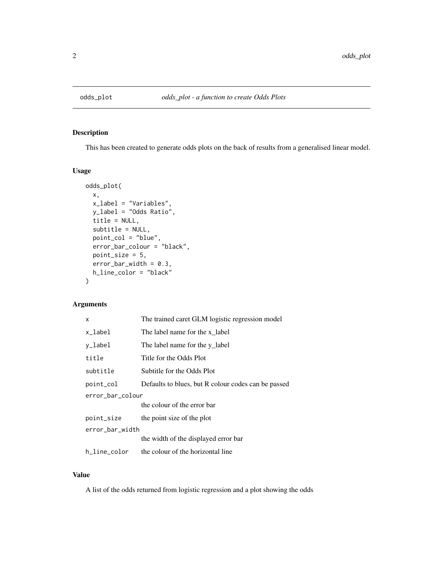<span id="page-1-0"></span>

#### Description

This has been created to generate odds plots on the back of results from a generalised linear model.

#### Usage

```
odds_plot(
  x,
  x_label = "Variables",
 y_label = "Odds Ratio",
  title = NULL,
  subtitle = NULL,
 point_col = "blue",
  error_bar_colour = "black",
 point_size = 5,
  error_bar_width = 0.3,
 h_line_color = "black"
)
```
#### Arguments

| X                | The trained caret GLM logistic regression model     |
|------------------|-----------------------------------------------------|
| x_label          | The label name for the x label                      |
| y_label          | The label name for the y_label                      |
| title            | Title for the Odds Plot                             |
| subtitle         | Subtitle for the Odds Plot                          |
| point_col        | Defaults to blues, but R colour codes can be passed |
| error_bar_colour |                                                     |
|                  | the colour of the error bar                         |
| point_size       | the point size of the plot                          |
| error_bar_width  |                                                     |
|                  | the width of the displayed error bar                |
| h_line_color     | the colour of the horizontal line                   |

#### Value

A list of the odds returned from logistic regression and a plot showing the odds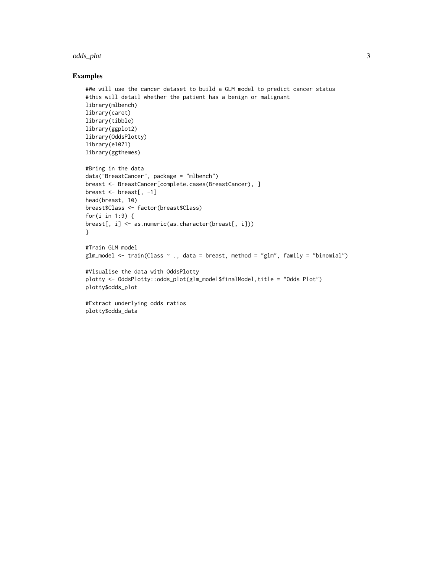#### odds\_plot 3

#### Examples

```
#We will use the cancer dataset to build a GLM model to predict cancer status
#this will detail whether the patient has a benign or malignant
library(mlbench)
library(caret)
library(tibble)
library(ggplot2)
library(OddsPlotty)
library(e1071)
library(ggthemes)
#Bring in the data
data("BreastCancer", package = "mlbench")
breast <- BreastCancer[complete.cases(BreastCancer), ]
breast \leq breast[, -1]
head(breast, 10)
breast$Class <- factor(breast$Class)
for(i in 1:9) {
breast[, i] <- as.numeric(as.character(breast[, i]))
}
#Train GLM model
glm_model <- train(Class ~ ., data = breast, method = "glm", family = "binomial")
#Visualise the data with OddsPlotty
plotty <- OddsPlotty::odds_plot(glm_model$finalModel,title = "Odds Plot")
plotty$odds_plot
#Extract underlying odds ratios
plotty$odds_data
```